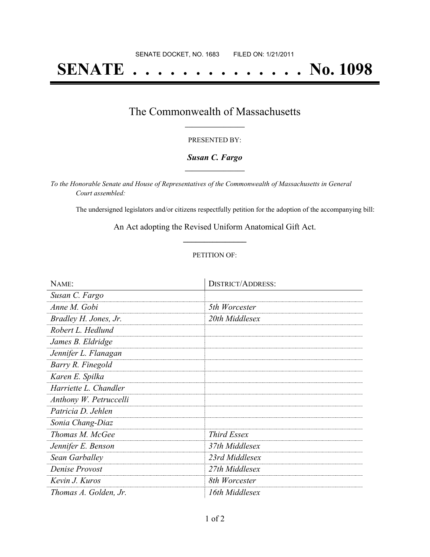# **SENATE . . . . . . . . . . . . . . No. 1098**

#### The Commonwealth of Massachusetts **\_\_\_\_\_\_\_\_\_\_\_\_\_\_\_\_\_**

#### PRESENTED BY:

#### *Susan C. Fargo* **\_\_\_\_\_\_\_\_\_\_\_\_\_\_\_\_\_**

*To the Honorable Senate and House of Representatives of the Commonwealth of Massachusetts in General Court assembled:*

The undersigned legislators and/or citizens respectfully petition for the adoption of the accompanying bill:

An Act adopting the Revised Uniform Anatomical Gift Act. **\_\_\_\_\_\_\_\_\_\_\_\_\_\_\_**

#### PETITION OF:

| NAME:                  | <b>DISTRICT/ADDRESS:</b> |  |
|------------------------|--------------------------|--|
| Susan C. Fargo         |                          |  |
| Anne M. Gobi           | 5th Worcester            |  |
| Bradley H. Jones, Jr.  | 20th Middlesex           |  |
| Robert L. Hedlund      |                          |  |
| James B. Eldridge      |                          |  |
| Jennifer L. Flanagan   |                          |  |
| Barry R. Finegold      |                          |  |
| Karen E. Spilka        |                          |  |
| Harriette L. Chandler  |                          |  |
| Anthony W. Petruccelli |                          |  |
| Patricia D. Jehlen     |                          |  |
| Sonia Chang-Diaz       |                          |  |
| Thomas M. McGee        | <b>Third Essex</b>       |  |
| Jennifer E. Benson     | 37th Middlesex           |  |
| Sean Garballey         | 23rd Middlesex           |  |
| Denise Provost         | 27th Middlesex           |  |
| Kevin J. Kuros         | 8th Worcester            |  |
| Thomas A. Golden, Jr.  | 16th Middlesex           |  |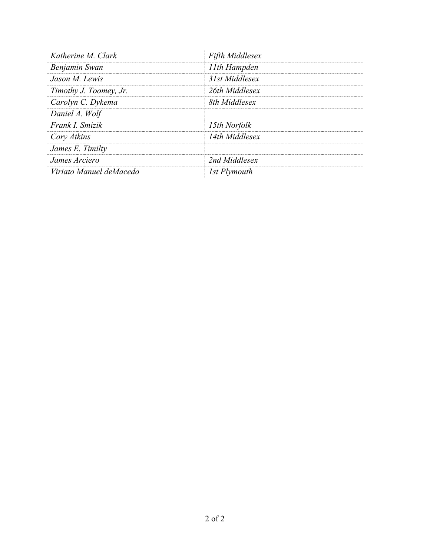| Katherine M. Clark      | <b>Fifth Middlesex</b> |
|-------------------------|------------------------|
| Benjamin Swan           | 11th Hampden           |
| Jason M. Lewis          | 31st Middlesex         |
| Timothy J. Toomey, Jr.  | 26th Middlesex         |
| Carolyn C. Dykema       | 8th Middlesex          |
| Daniel A. Wolf          |                        |
| Frank I. Smizik         | 15th Norfolk           |
| Cory Atkins             | 14th Middlesex         |
| James E. Timilty        |                        |
| James Arciero           | 2nd Middlesex          |
| Viriato Manuel deMacedo | 1st Plymouth           |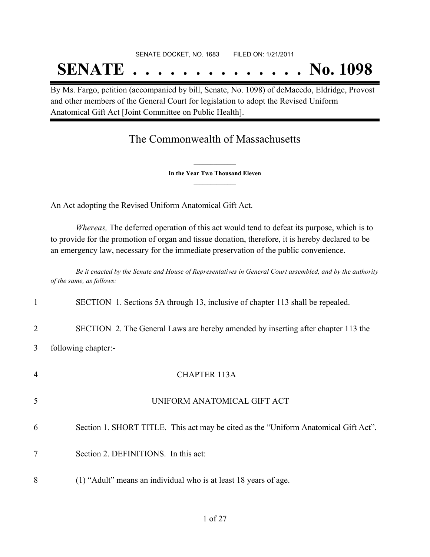### SENATE DOCKET, NO. 1683 FILED ON: 1/21/2011 **SENATE . . . . . . . . . . . . . . No. 1098**

By Ms. Fargo, petition (accompanied by bill, Senate, No. 1098) of deMacedo, Eldridge, Provost and other members of the General Court for legislation to adopt the Revised Uniform Anatomical Gift Act [Joint Committee on Public Health].

### The Commonwealth of Massachusetts

**\_\_\_\_\_\_\_\_\_\_\_\_\_\_\_ In the Year Two Thousand Eleven \_\_\_\_\_\_\_\_\_\_\_\_\_\_\_**

An Act adopting the Revised Uniform Anatomical Gift Act.

*Whereas,* The deferred operation of this act would tend to defeat its purpose, which is to to provide for the promotion of organ and tissue donation, therefore, it is hereby declared to be an emergency law, necessary for the immediate preservation of the public convenience.

Be it enacted by the Senate and House of Representatives in General Court assembled, and by the authority *of the same, as follows:*

| 1              | SECTION 1. Sections 5A through 13, inclusive of chapter 113 shall be repealed.      |
|----------------|-------------------------------------------------------------------------------------|
| $\overline{2}$ | SECTION 2. The General Laws are hereby amended by inserting after chapter 113 the   |
| 3              | following chapter:-                                                                 |
| 4              | <b>CHAPTER 113A</b>                                                                 |
| 5              | UNIFORM ANATOMICAL GIFT ACT                                                         |
| 6              | Section 1. SHORT TITLE. This act may be cited as the "Uniform Anatomical Gift Act". |
| 7              | Section 2. DEFINITIONS. In this act:                                                |
| 8              | (1) "Adult" means an individual who is at least 18 years of age.                    |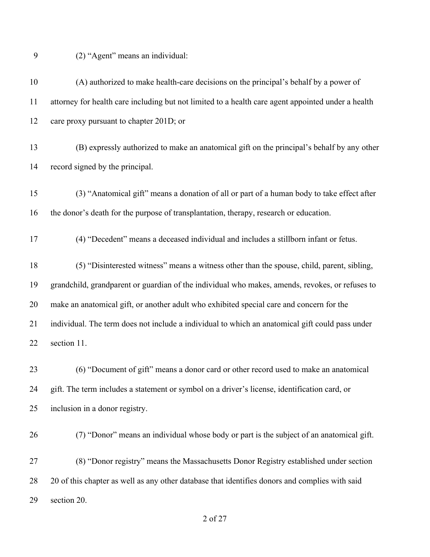(2) "Agent" means an individual:

| 10 | (A) authorized to make health-care decisions on the principal's behalf by a power of               |
|----|----------------------------------------------------------------------------------------------------|
| 11 | attorney for health care including but not limited to a health care agent appointed under a health |
| 12 | care proxy pursuant to chapter 201D; or                                                            |
| 13 | (B) expressly authorized to make an anatomical gift on the principal's behalf by any other         |
| 14 | record signed by the principal.                                                                    |
| 15 | (3) "Anatomical gift" means a donation of all or part of a human body to take effect after         |
| 16 | the donor's death for the purpose of transplantation, therapy, research or education.              |
| 17 | (4) "Decedent" means a deceased individual and includes a stillborn infant or fetus.               |
| 18 | (5) "Disinterested witness" means a witness other than the spouse, child, parent, sibling,         |
| 19 | grandchild, grandparent or guardian of the individual who makes, amends, revokes, or refuses to    |
| 20 | make an anatomical gift, or another adult who exhibited special care and concern for the           |
| 21 | individual. The term does not include a individual to which an anatomical gift could pass under    |
| 22 | section 11.                                                                                        |
| 23 | (6) "Document of gift" means a donor card or other record used to make an anatomical               |
| 24 | gift. The term includes a statement or symbol on a driver's license, identification card, or       |
| 25 | inclusion in a donor registry.                                                                     |
| 26 | (7) "Donor" means an individual whose body or part is the subject of an anatomical gift.           |
| 27 | (8) "Donor registry" means the Massachusetts Donor Registry established under section              |
| 28 | 20 of this chapter as well as any other database that identifies donors and complies with said     |
| 29 | section 20.                                                                                        |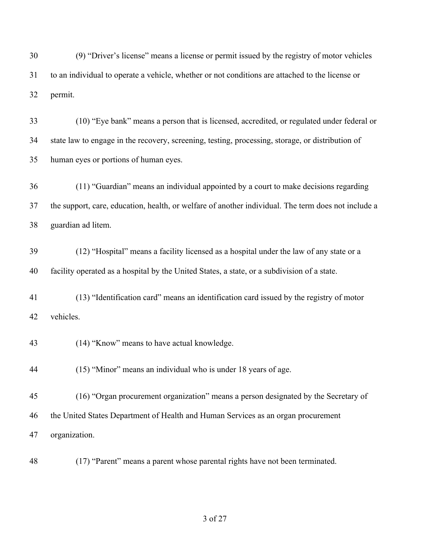(9) "Driver's license" means a license or permit issued by the registry of motor vehicles to an individual to operate a vehicle, whether or not conditions are attached to the license or permit.

 (10) "Eye bank" means a person that is licensed, accredited, or regulated under federal or state law to engage in the recovery, screening, testing, processing, storage, or distribution of human eyes or portions of human eyes.

 (11) "Guardian" means an individual appointed by a court to make decisions regarding the support, care, education, health, or welfare of another individual. The term does not include a guardian ad litem.

 (12) "Hospital" means a facility licensed as a hospital under the law of any state or a facility operated as a hospital by the United States, a state, or a subdivision of a state.

 (13) "Identification card" means an identification card issued by the registry of motor vehicles.

(14) "Know" means to have actual knowledge.

(15) "Minor" means an individual who is under 18 years of age.

 (16) "Organ procurement organization" means a person designated by the Secretary of the United States Department of Health and Human Services as an organ procurement organization.

(17) "Parent" means a parent whose parental rights have not been terminated.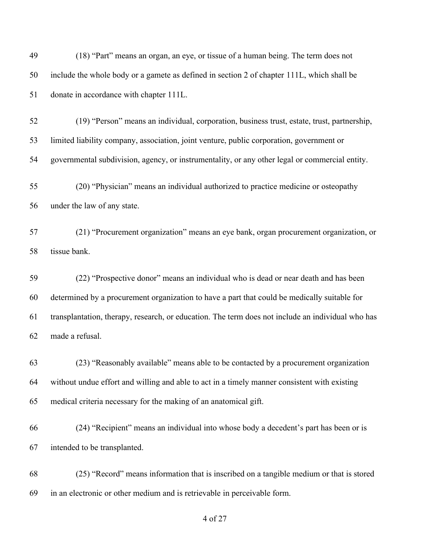| 49 | (18) "Part" means an organ, an eye, or tissue of a human being. The term does not                 |
|----|---------------------------------------------------------------------------------------------------|
| 50 | include the whole body or a gamete as defined in section 2 of chapter 111L, which shall be        |
| 51 | donate in accordance with chapter 111L.                                                           |
| 52 | (19) "Person" means an individual, corporation, business trust, estate, trust, partnership,       |
| 53 | limited liability company, association, joint venture, public corporation, government or          |
| 54 | governmental subdivision, agency, or instrumentality, or any other legal or commercial entity.    |
| 55 | (20) "Physician" means an individual authorized to practice medicine or osteopathy                |
| 56 | under the law of any state.                                                                       |
| 57 | (21) "Procurement organization" means an eye bank, organ procurement organization, or             |
| 58 | tissue bank.                                                                                      |
| 59 | (22) "Prospective donor" means an individual who is dead or near death and has been               |
| 60 | determined by a procurement organization to have a part that could be medically suitable for      |
| 61 | transplantation, therapy, research, or education. The term does not include an individual who has |
| 62 | made a refusal.                                                                                   |
| 63 | (23) "Reasonably available" means able to be contacted by a procurement organization              |
| 64 | without undue effort and willing and able to act in a timely manner consistent with existing      |
| 65 | medical criteria necessary for the making of an anatomical gift.                                  |
| 66 | (24) "Recipient" means an individual into whose body a decedent's part has been or is             |
| 67 | intended to be transplanted.                                                                      |
| 68 | (25) "Record" means information that is inscribed on a tangible medium or that is stored          |
| 69 | in an electronic or other medium and is retrievable in perceivable form.                          |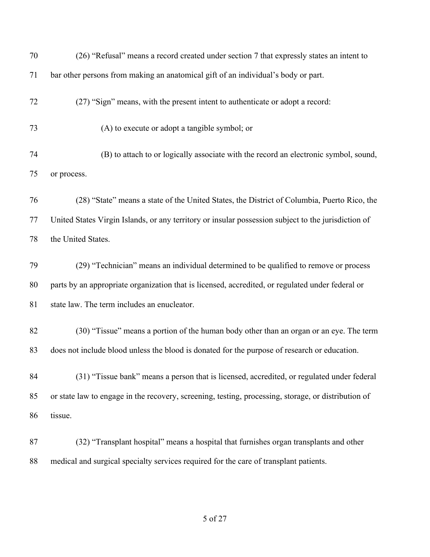| 71<br>72<br>73<br>74<br>75<br>or process.<br>76                                             |                                                                                                     |
|---------------------------------------------------------------------------------------------|-----------------------------------------------------------------------------------------------------|
|                                                                                             | bar other persons from making an anatomical gift of an individual's body or part.                   |
|                                                                                             | (27) "Sign" means, with the present intent to authenticate or adopt a record:                       |
|                                                                                             | (A) to execute or adopt a tangible symbol; or                                                       |
|                                                                                             | (B) to attach to or logically associate with the record an electronic symbol, sound,                |
|                                                                                             |                                                                                                     |
|                                                                                             | (28) "State" means a state of the United States, the District of Columbia, Puerto Rico, the         |
| 77                                                                                          | United States Virgin Islands, or any territory or insular possession subject to the jurisdiction of |
| 78<br>the United States.                                                                    |                                                                                                     |
| 79                                                                                          | (29) "Technician" means an individual determined to be qualified to remove or process               |
| 80                                                                                          | parts by an appropriate organization that is licensed, accredited, or regulated under federal or    |
| 81                                                                                          | state law. The term includes an enucleator.                                                         |
| 82                                                                                          | (30) "Tissue" means a portion of the human body other than an organ or an eye. The term             |
| 83                                                                                          | does not include blood unless the blood is donated for the purpose of research or education.        |
| 84                                                                                          | (31) "Tissue bank" means a person that is licensed, accredited, or regulated under federal          |
| 85                                                                                          | or state law to engage in the recovery, screening, testing, processing, storage, or distribution of |
| tissue.<br>86                                                                               |                                                                                                     |
| 87                                                                                          | (32) "Transplant hospital" means a hospital that furnishes organ transplants and other              |
| medical and surgical specialty services required for the care of transplant patients.<br>88 |                                                                                                     |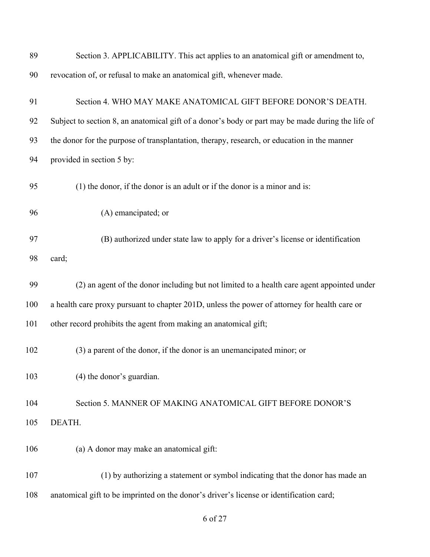| 89  | Section 3. APPLICABILITY. This act applies to an anatomical gift or amendment to,                 |
|-----|---------------------------------------------------------------------------------------------------|
| 90  | revocation of, or refusal to make an anatomical gift, whenever made.                              |
| 91  | Section 4. WHO MAY MAKE ANATOMICAL GIFT BEFORE DONOR'S DEATH.                                     |
| 92  | Subject to section 8, an anatomical gift of a donor's body or part may be made during the life of |
| 93  | the donor for the purpose of transplantation, therapy, research, or education in the manner       |
| 94  | provided in section 5 by:                                                                         |
| 95  | (1) the donor, if the donor is an adult or if the donor is a minor and is:                        |
| 96  | (A) emancipated; or                                                                               |
| 97  | (B) authorized under state law to apply for a driver's license or identification                  |
| 98  | card;                                                                                             |
| 99  | (2) an agent of the donor including but not limited to a health care agent appointed under        |
| 100 | a health care proxy pursuant to chapter 201D, unless the power of attorney for health care or     |
| 101 | other record prohibits the agent from making an anatomical gift;                                  |
| 102 | (3) a parent of the donor, if the donor is an unemancipated minor; or                             |
| 103 | (4) the donor's guardian.                                                                         |
| 104 | Section 5. MANNER OF MAKING ANATOMICAL GIFT BEFORE DONOR'S                                        |
| 105 | DEATH.                                                                                            |
| 106 | (a) A donor may make an anatomical gift:                                                          |
| 107 | (1) by authorizing a statement or symbol indicating that the donor has made an                    |
| 108 | anatomical gift to be imprinted on the donor's driver's license or identification card;           |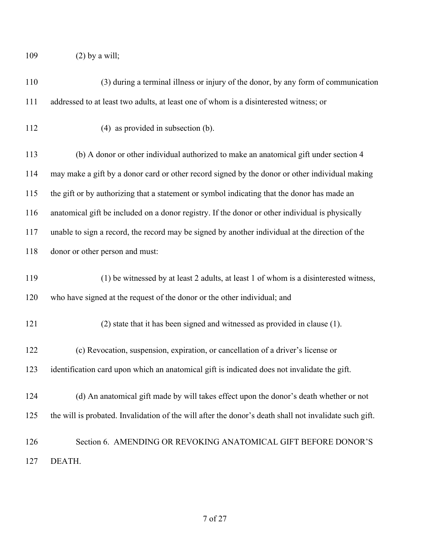109 (2) by a will;

| 110 | (3) during a terminal illness or injury of the donor, by any form of communication                     |
|-----|--------------------------------------------------------------------------------------------------------|
| 111 | addressed to at least two adults, at least one of whom is a disinterested witness; or                  |
| 112 | (4) as provided in subsection (b).                                                                     |
| 113 | (b) A donor or other individual authorized to make an anatomical gift under section 4                  |
| 114 | may make a gift by a donor card or other record signed by the donor or other individual making         |
| 115 | the gift or by authorizing that a statement or symbol indicating that the donor has made an            |
| 116 | anatomical gift be included on a donor registry. If the donor or other individual is physically        |
| 117 | unable to sign a record, the record may be signed by another individual at the direction of the        |
| 118 | donor or other person and must:                                                                        |
| 119 | (1) be witnessed by at least 2 adults, at least 1 of whom is a disinterested witness,                  |
| 120 | who have signed at the request of the donor or the other individual; and                               |
| 121 | (2) state that it has been signed and witnessed as provided in clause (1).                             |
| 122 | (c) Revocation, suspension, expiration, or cancellation of a driver's license or                       |
| 123 | identification card upon which an anatomical gift is indicated does not invalidate the gift.           |
| 124 | (d) An anatomical gift made by will takes effect upon the donor's death whether or not                 |
| 125 | the will is probated. Invalidation of the will after the donor's death shall not invalidate such gift. |
| 126 | Section 6. AMENDING OR REVOKING ANATOMICAL GIFT BEFORE DONOR'S                                         |
| 127 | DEATH.                                                                                                 |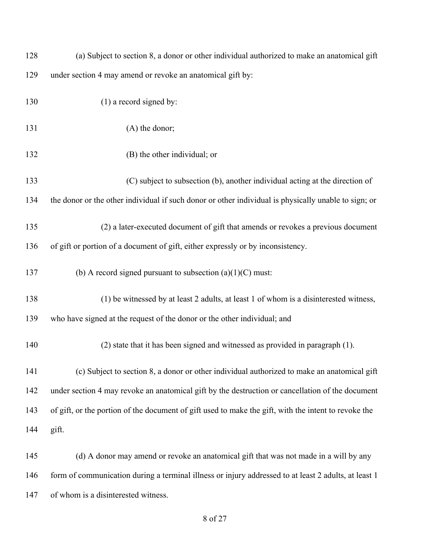| 128 | (a) Subject to section 8, a donor or other individual authorized to make an anatomical gift          |
|-----|------------------------------------------------------------------------------------------------------|
| 129 | under section 4 may amend or revoke an anatomical gift by:                                           |
| 130 | $(1)$ a record signed by:                                                                            |
| 131 | $(A)$ the donor;                                                                                     |
| 132 | (B) the other individual; or                                                                         |
| 133 | (C) subject to subsection (b), another individual acting at the direction of                         |
| 134 | the donor or the other individual if such donor or other individual is physically unable to sign; or |
| 135 | (2) a later-executed document of gift that amends or revokes a previous document                     |
| 136 | of gift or portion of a document of gift, either expressly or by inconsistency.                      |
| 137 | (b) A record signed pursuant to subsection $(a)(1)(C)$ must:                                         |
| 138 | (1) be witnessed by at least 2 adults, at least 1 of whom is a disinterested witness,                |
| 139 | who have signed at the request of the donor or the other individual; and                             |
| 140 | (2) state that it has been signed and witnessed as provided in paragraph (1).                        |
| 141 | (c) Subject to section 8, a donor or other individual authorized to make an anatomical gift          |
| 142 | under section 4 may revoke an anatomical gift by the destruction or cancellation of the document     |
| 143 | of gift, or the portion of the document of gift used to make the gift, with the intent to revoke the |
| 144 | gift.                                                                                                |
| 145 | (d) A donor may amend or revoke an anatomical gift that was not made in a will by any                |
| 146 | form of communication during a terminal illness or injury addressed to at least 2 adults, at least 1 |
| 147 | of whom is a disinterested witness.                                                                  |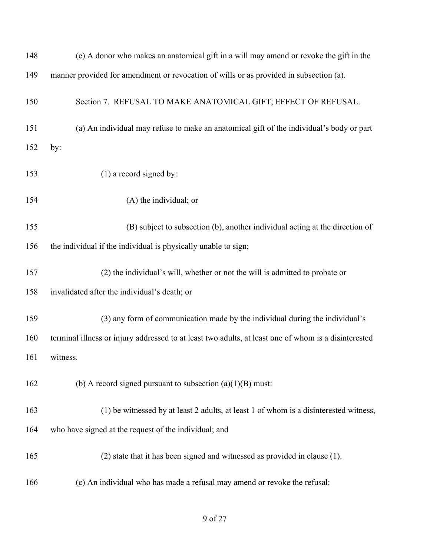| 148 | (e) A donor who makes an anatomical gift in a will may amend or revoke the gift in the               |
|-----|------------------------------------------------------------------------------------------------------|
| 149 | manner provided for amendment or revocation of wills or as provided in subsection (a).               |
| 150 | Section 7. REFUSAL TO MAKE ANATOMICAL GIFT; EFFECT OF REFUSAL.                                       |
| 151 | (a) An individual may refuse to make an anatomical gift of the individual's body or part             |
| 152 | by:                                                                                                  |
| 153 | $(1)$ a record signed by:                                                                            |
| 154 | (A) the individual; or                                                                               |
| 155 | (B) subject to subsection (b), another individual acting at the direction of                         |
| 156 | the individual if the individual is physically unable to sign;                                       |
| 157 | (2) the individual's will, whether or not the will is admitted to probate or                         |
| 158 | invalidated after the individual's death; or                                                         |
| 159 | (3) any form of communication made by the individual during the individual's                         |
| 160 | terminal illness or injury addressed to at least two adults, at least one of whom is a disinterested |
| 161 | witness.                                                                                             |
| 162 | (b) A record signed pursuant to subsection $(a)(1)(B)$ must:                                         |
| 163 | (1) be witnessed by at least 2 adults, at least 1 of whom is a disinterested witness,                |
| 164 | who have signed at the request of the individual; and                                                |
| 165 | (2) state that it has been signed and witnessed as provided in clause (1).                           |
| 166 | (c) An individual who has made a refusal may amend or revoke the refusal:                            |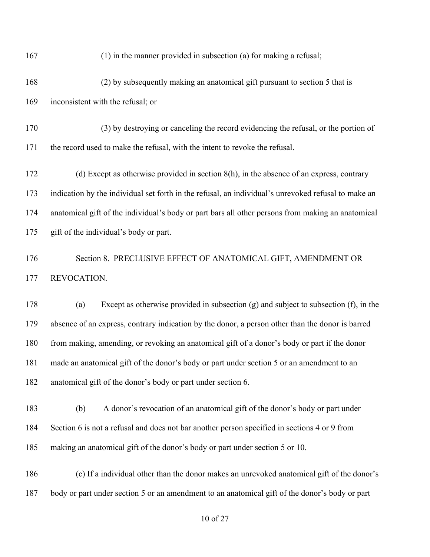| 167 | $(1)$ in the manner provided in subsection $(a)$ for making a refusal;                              |
|-----|-----------------------------------------------------------------------------------------------------|
| 168 | (2) by subsequently making an anatomical gift pursuant to section 5 that is                         |
| 169 | inconsistent with the refusal; or                                                                   |
| 170 | (3) by destroying or canceling the record evidencing the refusal, or the portion of                 |
| 171 | the record used to make the refusal, with the intent to revoke the refusal.                         |
| 172 | (d) Except as otherwise provided in section $8(h)$ , in the absence of an express, contrary         |
| 173 | indication by the individual set forth in the refusal, an individual's unrevoked refusal to make an |
| 174 | anatomical gift of the individual's body or part bars all other persons from making an anatomical   |
| 175 | gift of the individual's body or part.                                                              |
| 176 | Section 8. PRECLUSIVE EFFECT OF ANATOMICAL GIFT, AMENDMENT OR                                       |
| 177 | REVOCATION.                                                                                         |
| 178 | Except as otherwise provided in subsection $(g)$ and subject to subsection $(f)$ , in the<br>(a)    |
| 179 | absence of an express, contrary indication by the donor, a person other than the donor is barred    |
| 180 | from making, amending, or revoking an anatomical gift of a donor's body or part if the donor        |
| 181 | made an anatomical gift of the donor's body or part under section 5 or an amendment to an           |
| 182 | anatomical gift of the donor's body or part under section 6.                                        |
| 183 | (b)<br>A donor's revocation of an anatomical gift of the donor's body or part under                 |
| 184 | Section 6 is not a refusal and does not bar another person specified in sections 4 or 9 from        |
| 185 | making an anatomical gift of the donor's body or part under section 5 or 10.                        |
| 186 | (c) If a individual other than the donor makes an unrevoked anatomical gift of the donor's          |
| 187 | body or part under section 5 or an amendment to an anatomical gift of the donor's body or part      |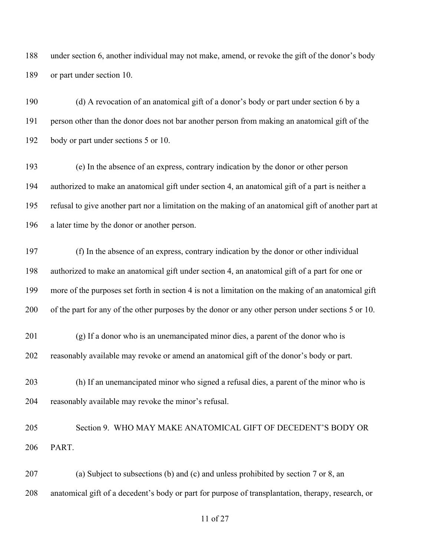under section 6, another individual may not make, amend, or revoke the gift of the donor's body or part under section 10.

 (d) A revocation of an anatomical gift of a donor's body or part under section 6 by a person other than the donor does not bar another person from making an anatomical gift of the body or part under sections 5 or 10.

 (e) In the absence of an express, contrary indication by the donor or other person authorized to make an anatomical gift under section 4, an anatomical gift of a part is neither a refusal to give another part nor a limitation on the making of an anatomical gift of another part at a later time by the donor or another person.

 (f) In the absence of an express, contrary indication by the donor or other individual authorized to make an anatomical gift under section 4, an anatomical gift of a part for one or more of the purposes set forth in section 4 is not a limitation on the making of an anatomical gift of the part for any of the other purposes by the donor or any other person under sections 5 or 10.

- (g) If a donor who is an unemancipated minor dies, a parent of the donor who is reasonably available may revoke or amend an anatomical gift of the donor's body or part.
- (h) If an unemancipated minor who signed a refusal dies, a parent of the minor who is reasonably available may revoke the minor's refusal.
- Section 9. WHO MAY MAKE ANATOMICAL GIFT OF DECEDENT'S BODY OR PART.

 (a) Subject to subsections (b) and (c) and unless prohibited by section 7 or 8, an anatomical gift of a decedent's body or part for purpose of transplantation, therapy, research, or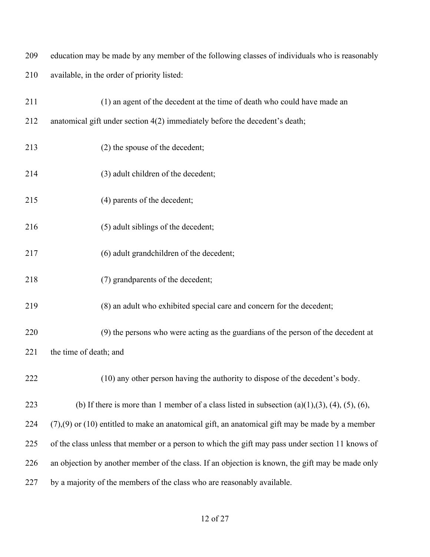| 209 | education may be made by any member of the following classes of individuals who is reasonably       |
|-----|-----------------------------------------------------------------------------------------------------|
| 210 | available, in the order of priority listed:                                                         |
| 211 | (1) an agent of the decedent at the time of death who could have made an                            |
| 212 | anatomical gift under section 4(2) immediately before the decedent's death;                         |
| 213 | (2) the spouse of the decedent;                                                                     |
| 214 | (3) adult children of the decedent;                                                                 |
| 215 | (4) parents of the decedent;                                                                        |
| 216 | (5) adult siblings of the decedent;                                                                 |
| 217 | (6) adult grandchildren of the decedent;                                                            |
| 218 | (7) grandparents of the decedent;                                                                   |
| 219 | (8) an adult who exhibited special care and concern for the decedent;                               |
| 220 | (9) the persons who were acting as the guardians of the person of the decedent at                   |
| 221 | the time of death; and                                                                              |
| 222 | (10) any other person having the authority to dispose of the decedent's body.                       |
| 223 | (b) If there is more than 1 member of a class listed in subsection $(a)(1),(3),(4),(5),(6)$ ,       |
| 224 | $(7)$ , (9) or (10) entitled to make an anatomical gift, an anatomical gift may be made by a member |
| 225 | of the class unless that member or a person to which the gift may pass under section 11 knows of    |
| 226 | an objection by another member of the class. If an objection is known, the gift may be made only    |
| 227 | by a majority of the members of the class who are reasonably available.                             |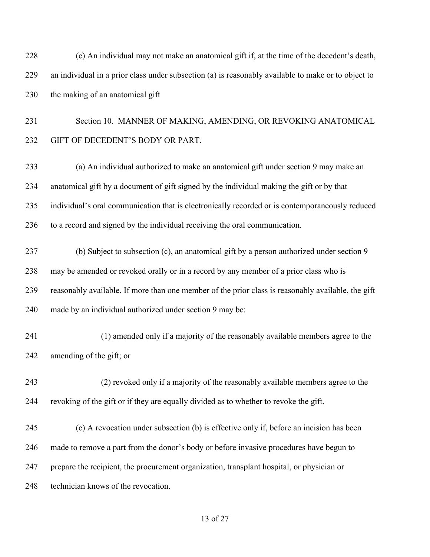(c) An individual may not make an anatomical gift if, at the time of the decedent's death, an individual in a prior class under subsection (a) is reasonably available to make or to object to 230 the making of an anatomical gift

 Section 10. MANNER OF MAKING, AMENDING, OR REVOKING ANATOMICAL GIFT OF DECEDENT'S BODY OR PART.

 (a) An individual authorized to make an anatomical gift under section 9 may make an anatomical gift by a document of gift signed by the individual making the gift or by that individual's oral communication that is electronically recorded or is contemporaneously reduced to a record and signed by the individual receiving the oral communication.

 (b) Subject to subsection (c), an anatomical gift by a person authorized under section 9 may be amended or revoked orally or in a record by any member of a prior class who is reasonably available. If more than one member of the prior class is reasonably available, the gift made by an individual authorized under section 9 may be:

- (1) amended only if a majority of the reasonably available members agree to the amending of the gift; or
- (2) revoked only if a majority of the reasonably available members agree to the revoking of the gift or if they are equally divided as to whether to revoke the gift.
- (c) A revocation under subsection (b) is effective only if, before an incision has been made to remove a part from the donor's body or before invasive procedures have begun to prepare the recipient, the procurement organization, transplant hospital, or physician or technician knows of the revocation.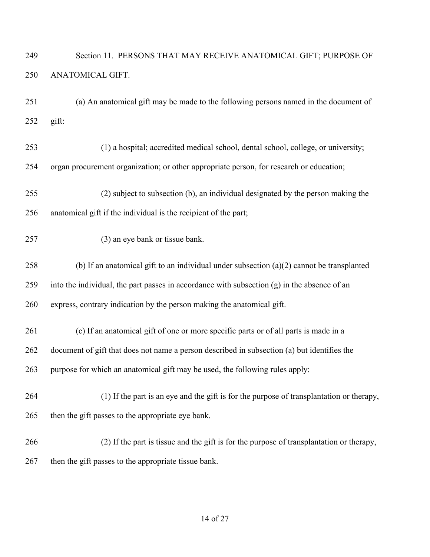# Section 11. PERSONS THAT MAY RECEIVE ANATOMICAL GIFT; PURPOSE OF ANATOMICAL GIFT.

- (a) An anatomical gift may be made to the following persons named in the document of gift:
- (1) a hospital; accredited medical school, dental school, college, or university; organ procurement organization; or other appropriate person, for research or education;
- (2) subject to subsection (b), an individual designated by the person making the anatomical gift if the individual is the recipient of the part;
- (3) an eye bank or tissue bank.
- 258 (b) If an anatomical gift to an individual under subsection  $(a)(2)$  cannot be transplanted into the individual, the part passes in accordance with subsection (g) in the absence of an express, contrary indication by the person making the anatomical gift.
- (c) If an anatomical gift of one or more specific parts or of all parts is made in a document of gift that does not name a person described in subsection (a) but identifies the purpose for which an anatomical gift may be used, the following rules apply:
- (1) If the part is an eye and the gift is for the purpose of transplantation or therapy, then the gift passes to the appropriate eye bank.
- (2) If the part is tissue and the gift is for the purpose of transplantation or therapy, 267 then the gift passes to the appropriate tissue bank.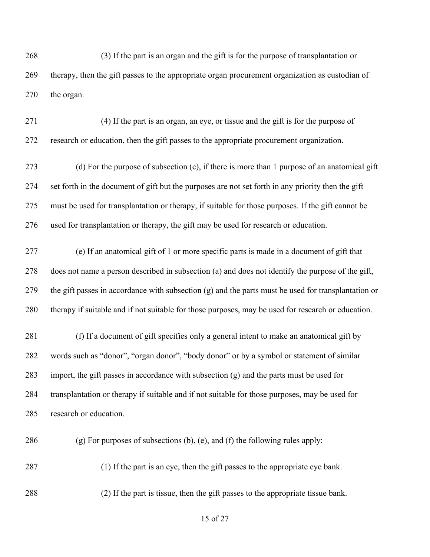(3) If the part is an organ and the gift is for the purpose of transplantation or therapy, then the gift passes to the appropriate organ procurement organization as custodian of the organ.

 (4) If the part is an organ, an eye, or tissue and the gift is for the purpose of research or education, then the gift passes to the appropriate procurement organization.

 (d) For the purpose of subsection (c), if there is more than 1 purpose of an anatomical gift set forth in the document of gift but the purposes are not set forth in any priority then the gift must be used for transplantation or therapy, if suitable for those purposes. If the gift cannot be used for transplantation or therapy, the gift may be used for research or education.

 (e) If an anatomical gift of 1 or more specific parts is made in a document of gift that does not name a person described in subsection (a) and does not identify the purpose of the gift, the gift passes in accordance with subsection (g) and the parts must be used for transplantation or therapy if suitable and if not suitable for those purposes, may be used for research or education.

 (f) If a document of gift specifies only a general intent to make an anatomical gift by words such as "donor", "organ donor", "body donor" or by a symbol or statement of similar import, the gift passes in accordance with subsection (g) and the parts must be used for transplantation or therapy if suitable and if not suitable for those purposes, may be used for research or education.

286 (g) For purposes of subsections (b), (e), and (f) the following rules apply:

(1) If the part is an eye, then the gift passes to the appropriate eye bank.

(2) If the part is tissue, then the gift passes to the appropriate tissue bank.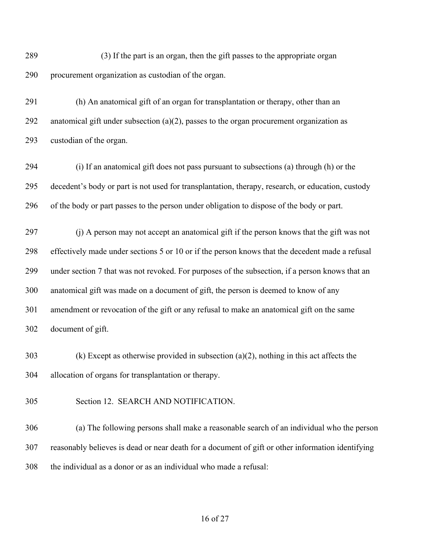(3) If the part is an organ, then the gift passes to the appropriate organ procurement organization as custodian of the organ.

 (h) An anatomical gift of an organ for transplantation or therapy, other than an 292 anatomical gift under subsection  $(a)(2)$ , passes to the organ procurement organization as custodian of the organ.

 (i) If an anatomical gift does not pass pursuant to subsections (a) through (h) or the decedent's body or part is not used for transplantation, therapy, research, or education, custody of the body or part passes to the person under obligation to dispose of the body or part.

 (j) A person may not accept an anatomical gift if the person knows that the gift was not effectively made under sections 5 or 10 or if the person knows that the decedent made a refusal under section 7 that was not revoked. For purposes of the subsection, if a person knows that an anatomical gift was made on a document of gift, the person is deemed to know of any amendment or revocation of the gift or any refusal to make an anatomical gift on the same document of gift.

 (k) Except as otherwise provided in subsection (a)(2), nothing in this act affects the allocation of organs for transplantation or therapy.

Section 12. SEARCH AND NOTIFICATION.

 (a) The following persons shall make a reasonable search of an individual who the person reasonably believes is dead or near death for a document of gift or other information identifying the individual as a donor or as an individual who made a refusal: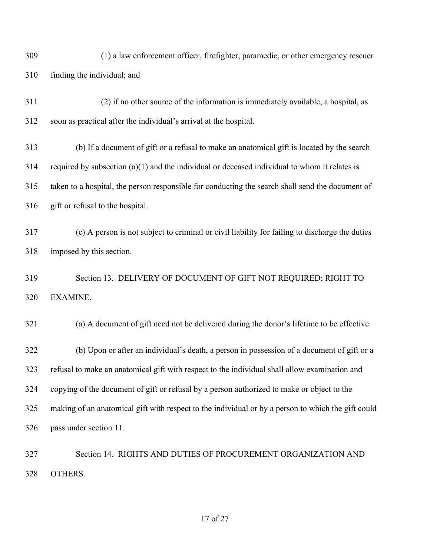| 309 | (1) a law enforcement officer, firefighter, paramedic, or other emergency rescuer                  |
|-----|----------------------------------------------------------------------------------------------------|
| 310 | finding the individual; and                                                                        |
| 311 | (2) if no other source of the information is immediately available, a hospital, as                 |
| 312 | soon as practical after the individual's arrival at the hospital.                                  |
| 313 | (b) If a document of gift or a refusal to make an anatomical gift is located by the search         |
| 314 | required by subsection $(a)(1)$ and the individual or deceased individual to whom it relates is    |
| 315 | taken to a hospital, the person responsible for conducting the search shall send the document of   |
| 316 | gift or refusal to the hospital.                                                                   |
| 317 | (c) A person is not subject to criminal or civil liability for failing to discharge the duties     |
| 318 | imposed by this section.                                                                           |
| 319 | Section 13. DELIVERY OF DOCUMENT OF GIFT NOT REQUIRED; RIGHT TO                                    |
| 320 | EXAMINE.                                                                                           |
| 321 | (a) A document of gift need not be delivered during the donor's lifetime to be effective.          |
| 322 | (b) Upon or after an individual's death, a person in possession of a document of gift or a         |
| 323 | refusal to make an anatomical gift with respect to the individual shall allow examination and      |
| 324 | copying of the document of gift or refusal by a person authorized to make or object to the         |
| 325 | making of an anatomical gift with respect to the individual or by a person to which the gift could |
| 326 | pass under section 11.                                                                             |
| 327 | Section 14. RIGHTS AND DUTIES OF PROCUREMENT ORGANIZATION AND                                      |
| 328 | OTHERS.                                                                                            |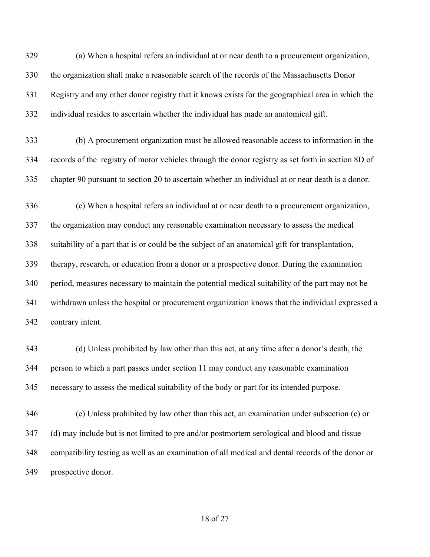(a) When a hospital refers an individual at or near death to a procurement organization, the organization shall make a reasonable search of the records of the Massachusetts Donor Registry and any other donor registry that it knows exists for the geographical area in which the individual resides to ascertain whether the individual has made an anatomical gift.

 (b) A procurement organization must be allowed reasonable access to information in the records of the registry of motor vehicles through the donor registry as set forth in section 8D of chapter 90 pursuant to section 20 to ascertain whether an individual at or near death is a donor.

 (c) When a hospital refers an individual at or near death to a procurement organization, the organization may conduct any reasonable examination necessary to assess the medical suitability of a part that is or could be the subject of an anatomical gift for transplantation, therapy, research, or education from a donor or a prospective donor. During the examination period, measures necessary to maintain the potential medical suitability of the part may not be withdrawn unless the hospital or procurement organization knows that the individual expressed a contrary intent.

 (d) Unless prohibited by law other than this act, at any time after a donor's death, the person to which a part passes under section 11 may conduct any reasonable examination necessary to assess the medical suitability of the body or part for its intended purpose.

 (e) Unless prohibited by law other than this act, an examination under subsection (c) or (d) may include but is not limited to pre and/or postmortem serological and blood and tissue compatibility testing as well as an examination of all medical and dental records of the donor or prospective donor.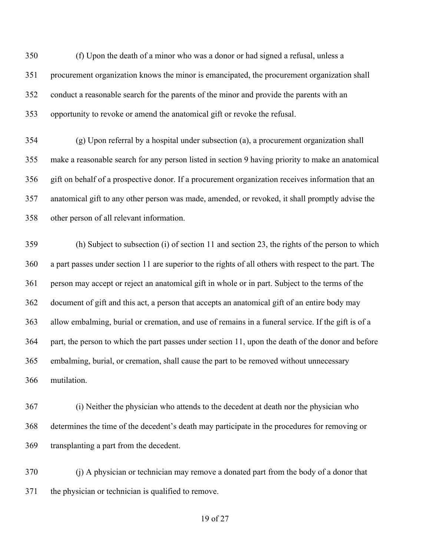(f) Upon the death of a minor who was a donor or had signed a refusal, unless a procurement organization knows the minor is emancipated, the procurement organization shall conduct a reasonable search for the parents of the minor and provide the parents with an opportunity to revoke or amend the anatomical gift or revoke the refusal.

 (g) Upon referral by a hospital under subsection (a), a procurement organization shall make a reasonable search for any person listed in section 9 having priority to make an anatomical gift on behalf of a prospective donor. If a procurement organization receives information that an anatomical gift to any other person was made, amended, or revoked, it shall promptly advise the other person of all relevant information.

 (h) Subject to subsection (i) of section 11 and section 23, the rights of the person to which a part passes under section 11 are superior to the rights of all others with respect to the part. The person may accept or reject an anatomical gift in whole or in part. Subject to the terms of the document of gift and this act, a person that accepts an anatomical gift of an entire body may allow embalming, burial or cremation, and use of remains in a funeral service. If the gift is of a part, the person to which the part passes under section 11, upon the death of the donor and before embalming, burial, or cremation, shall cause the part to be removed without unnecessary mutilation.

 (i) Neither the physician who attends to the decedent at death nor the physician who determines the time of the decedent's death may participate in the procedures for removing or transplanting a part from the decedent.

 (j) A physician or technician may remove a donated part from the body of a donor that the physician or technician is qualified to remove.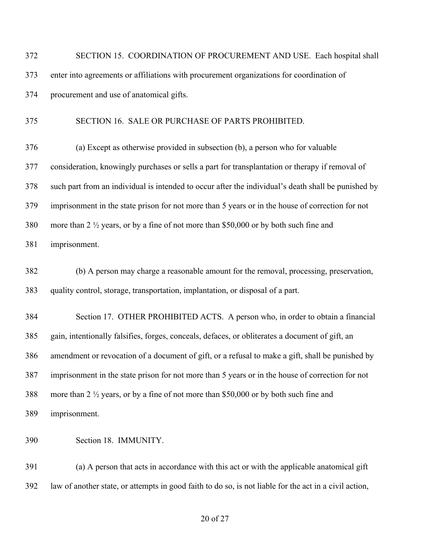| 372 | SECTION 15. COORDINATION OF PROCUREMENT AND USE. Each hospital shall                                |
|-----|-----------------------------------------------------------------------------------------------------|
| 373 | enter into agreements or affiliations with procurement organizations for coordination of            |
| 374 | procurement and use of anatomical gifts.                                                            |
| 375 | SECTION 16. SALE OR PURCHASE OF PARTS PROHIBITED.                                                   |
| 376 | (a) Except as otherwise provided in subsection (b), a person who for valuable                       |
| 377 | consideration, knowingly purchases or sells a part for transplantation or therapy if removal of     |
| 378 | such part from an individual is intended to occur after the individual's death shall be punished by |
| 379 | imprisonment in the state prison for not more than 5 years or in the house of correction for not    |
| 380 | more than 2 $\frac{1}{2}$ years, or by a fine of not more than \$50,000 or by both such fine and    |
| 381 | imprisonment.                                                                                       |
| 382 | (b) A person may charge a reasonable amount for the removal, processing, preservation,              |
| 383 | quality control, storage, transportation, implantation, or disposal of a part.                      |
| 384 | Section 17. OTHER PROHIBITED ACTS. A person who, in order to obtain a financial                     |
| 385 | gain, intentionally falsifies, forges, conceals, defaces, or obliterates a document of gift, an     |
| 386 | amendment or revocation of a document of gift, or a refusal to make a gift, shall be punished by    |
| 387 | imprisonment in the state prison for not more than 5 years or in the house of correction for not    |
| 388 | more than 2 1/2 years, or by a fine of not more than \$50,000 or by both such fine and              |
| 389 | imprisonment.                                                                                       |
| 390 | Section 18. IMMUNITY.                                                                               |
|     |                                                                                                     |

 (a) A person that acts in accordance with this act or with the applicable anatomical gift law of another state, or attempts in good faith to do so, is not liable for the act in a civil action,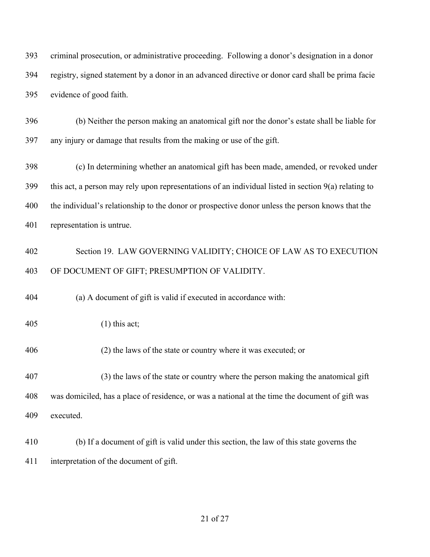criminal prosecution, or administrative proceeding. Following a donor's designation in a donor registry, signed statement by a donor in an advanced directive or donor card shall be prima facie evidence of good faith.

 (b) Neither the person making an anatomical gift nor the donor's estate shall be liable for any injury or damage that results from the making or use of the gift.

 (c) In determining whether an anatomical gift has been made, amended, or revoked under this act, a person may rely upon representations of an individual listed in section 9(a) relating to the individual's relationship to the donor or prospective donor unless the person knows that the representation is untrue.

 Section 19. LAW GOVERNING VALIDITY; CHOICE OF LAW AS TO EXECUTION OF DOCUMENT OF GIFT; PRESUMPTION OF VALIDITY.

(a) A document of gift is valid if executed in accordance with:

(1) this act;

(2) the laws of the state or country where it was executed; or

 (3) the laws of the state or country where the person making the anatomical gift was domiciled, has a place of residence, or was a national at the time the document of gift was executed.

 (b) If a document of gift is valid under this section, the law of this state governs the interpretation of the document of gift.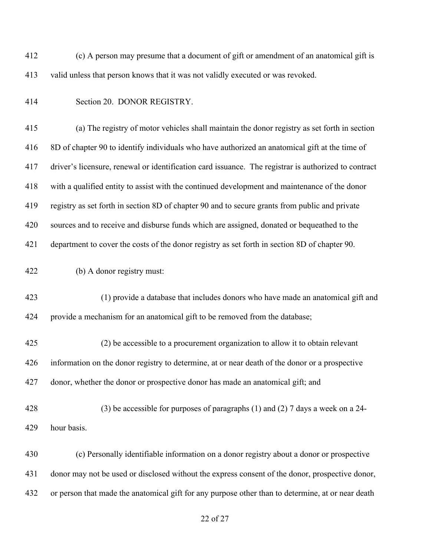(c) A person may presume that a document of gift or amendment of an anatomical gift is valid unless that person knows that it was not validly executed or was revoked.

Section 20. DONOR REGISTRY.

 (a) The registry of motor vehicles shall maintain the donor registry as set forth in section 8D of chapter 90 to identify individuals who have authorized an anatomical gift at the time of driver's licensure, renewal or identification card issuance. The registrar is authorized to contract with a qualified entity to assist with the continued development and maintenance of the donor registry as set forth in section 8D of chapter 90 and to secure grants from public and private sources and to receive and disburse funds which are assigned, donated or bequeathed to the department to cover the costs of the donor registry as set forth in section 8D of chapter 90.

(b) A donor registry must:

 (1) provide a database that includes donors who have made an anatomical gift and provide a mechanism for an anatomical gift to be removed from the database;

 (2) be accessible to a procurement organization to allow it to obtain relevant information on the donor registry to determine, at or near death of the donor or a prospective donor, whether the donor or prospective donor has made an anatomical gift; and

 (3) be accessible for purposes of paragraphs (1) and (2) 7 days a week on a 24- hour basis.

 (c) Personally identifiable information on a donor registry about a donor or prospective donor may not be used or disclosed without the express consent of the donor, prospective donor, or person that made the anatomical gift for any purpose other than to determine, at or near death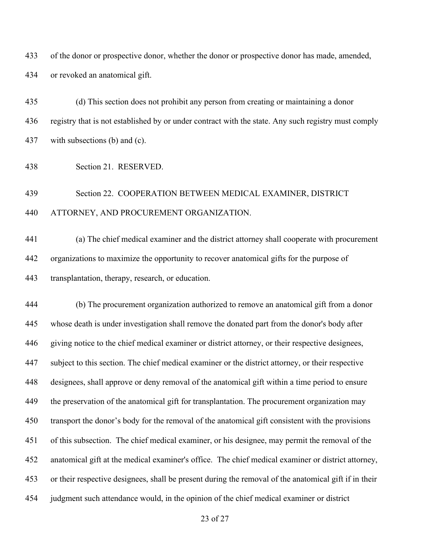of the donor or prospective donor, whether the donor or prospective donor has made, amended, or revoked an anatomical gift.

 (d) This section does not prohibit any person from creating or maintaining a donor registry that is not established by or under contract with the state. Any such registry must comply with subsections (b) and (c).

Section 21. RESERVED.

# Section 22. COOPERATION BETWEEN MEDICAL EXAMINER, DISTRICT ATTORNEY, AND PROCUREMENT ORGANIZATION.

 (a) The chief medical examiner and the district attorney shall cooperate with procurement organizations to maximize the opportunity to recover anatomical gifts for the purpose of transplantation, therapy, research, or education.

 (b) The procurement organization authorized to remove an anatomical gift from a donor whose death is under investigation shall remove the donated part from the donor's body after giving notice to the chief medical examiner or district attorney, or their respective designees, subject to this section. The chief medical examiner or the district attorney, or their respective designees, shall approve or deny removal of the anatomical gift within a time period to ensure 449 the preservation of the anatomical gift for transplantation. The procurement organization may transport the donor's body for the removal of the anatomical gift consistent with the provisions of this subsection. The chief medical examiner, or his designee, may permit the removal of the anatomical gift at the medical examiner's office. The chief medical examiner or district attorney, or their respective designees, shall be present during the removal of the anatomical gift if in their judgment such attendance would, in the opinion of the chief medical examiner or district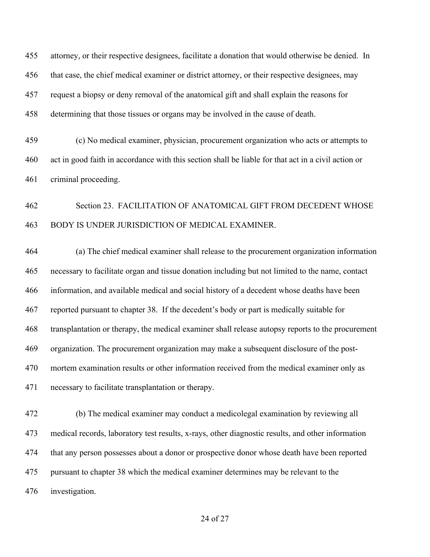attorney, or their respective designees, facilitate a donation that would otherwise be denied. In that case, the chief medical examiner or district attorney, or their respective designees, may request a biopsy or deny removal of the anatomical gift and shall explain the reasons for determining that those tissues or organs may be involved in the cause of death.

 (c) No medical examiner, physician, procurement organization who acts or attempts to act in good faith in accordance with this section shall be liable for that act in a civil action or criminal proceeding.

## Section 23. FACILITATION OF ANATOMICAL GIFT FROM DECEDENT WHOSE BODY IS UNDER JURISDICTION OF MEDICAL EXAMINER.

 (a) The chief medical examiner shall release to the procurement organization information necessary to facilitate organ and tissue donation including but not limited to the name, contact information, and available medical and social history of a decedent whose deaths have been reported pursuant to chapter 38. If the decedent's body or part is medically suitable for transplantation or therapy, the medical examiner shall release autopsy reports to the procurement organization. The procurement organization may make a subsequent disclosure of the post- mortem examination results or other information received from the medical examiner only as necessary to facilitate transplantation or therapy.

 (b) The medical examiner may conduct a medicolegal examination by reviewing all medical records, laboratory test results, x-rays, other diagnostic results, and other information that any person possesses about a donor or prospective donor whose death have been reported pursuant to chapter 38 which the medical examiner determines may be relevant to the investigation.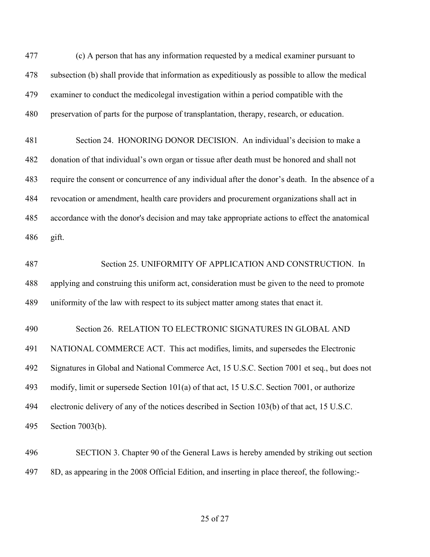(c) A person that has any information requested by a medical examiner pursuant to subsection (b) shall provide that information as expeditiously as possible to allow the medical examiner to conduct the medicolegal investigation within a period compatible with the preservation of parts for the purpose of transplantation, therapy, research, or education.

 Section 24. HONORING DONOR DECISION. An individual's decision to make a donation of that individual's own organ or tissue after death must be honored and shall not require the consent or concurrence of any individual after the donor's death. In the absence of a revocation or amendment, health care providers and procurement organizations shall act in accordance with the donor's decision and may take appropriate actions to effect the anatomical gift.

 Section 25. UNIFORMITY OF APPLICATION AND CONSTRUCTION. In applying and construing this uniform act, consideration must be given to the need to promote uniformity of the law with respect to its subject matter among states that enact it.

 Section 26. RELATION TO ELECTRONIC SIGNATURES IN GLOBAL AND NATIONAL COMMERCE ACT. This act modifies, limits, and supersedes the Electronic Signatures in Global and National Commerce Act, 15 U.S.C. Section 7001 et seq., but does not modify, limit or supersede Section 101(a) of that act, 15 U.S.C. Section 7001, or authorize electronic delivery of any of the notices described in Section 103(b) of that act, 15 U.S.C. Section 7003(b).

 SECTION 3. Chapter 90 of the General Laws is hereby amended by striking out section 8D, as appearing in the 2008 Official Edition, and inserting in place thereof, the following:-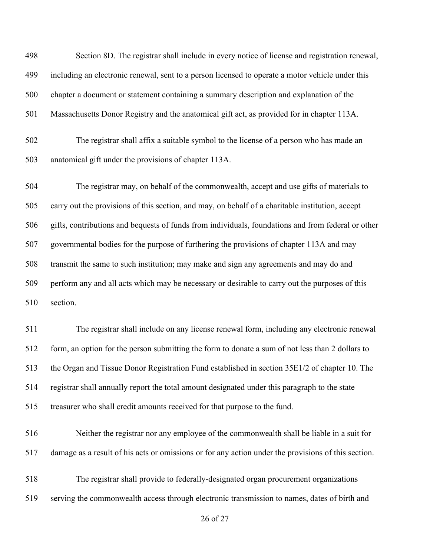Section 8D. The registrar shall include in every notice of license and registration renewal, including an electronic renewal, sent to a person licensed to operate a motor vehicle under this chapter a document or statement containing a summary description and explanation of the Massachusetts Donor Registry and the anatomical gift act, as provided for in chapter 113A.

 The registrar shall affix a suitable symbol to the license of a person who has made an anatomical gift under the provisions of chapter 113A.

 The registrar may, on behalf of the commonwealth, accept and use gifts of materials to carry out the provisions of this section, and may, on behalf of a charitable institution, accept gifts, contributions and bequests of funds from individuals, foundations and from federal or other governmental bodies for the purpose of furthering the provisions of chapter 113A and may transmit the same to such institution; may make and sign any agreements and may do and perform any and all acts which may be necessary or desirable to carry out the purposes of this section.

 The registrar shall include on any license renewal form, including any electronic renewal form, an option for the person submitting the form to donate a sum of not less than 2 dollars to the Organ and Tissue Donor Registration Fund established in section 35E1/2 of chapter 10. The registrar shall annually report the total amount designated under this paragraph to the state treasurer who shall credit amounts received for that purpose to the fund.

 Neither the registrar nor any employee of the commonwealth shall be liable in a suit for damage as a result of his acts or omissions or for any action under the provisions of this section.

 The registrar shall provide to federally-designated organ procurement organizations serving the commonwealth access through electronic transmission to names, dates of birth and